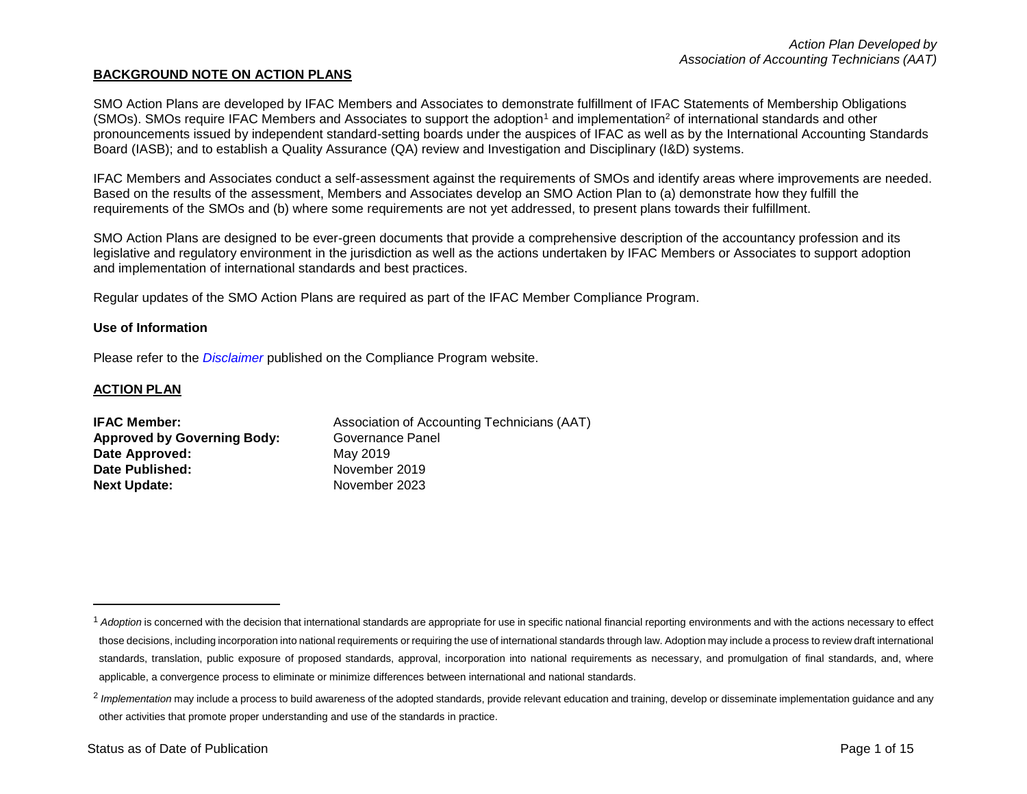#### **BACKGROUND NOTE ON ACTION PLANS**

SMO Action Plans are developed by IFAC Members and Associates to demonstrate fulfillment of IFAC Statements of Membership Obligations (SMOs). SMOs require IFAC Members and Associates to support the adoption<sup>1</sup> and implementation<sup>2</sup> of international standards and other pronouncements issued by independent standard-setting boards under the auspices of IFAC as well as by the International Accounting Standards Board (IASB); and to establish a Quality Assurance (QA) review and Investigation and Disciplinary (I&D) systems.

IFAC Members and Associates conduct a self-assessment against the requirements of SMOs and identify areas where improvements are needed. Based on the results of the assessment, Members and Associates develop an SMO Action Plan to (a) demonstrate how they fulfill the requirements of the SMOs and (b) where some requirements are not yet addressed, to present plans towards their fulfillment.

SMO Action Plans are designed to be ever-green documents that provide a comprehensive description of the accountancy profession and its legislative and regulatory environment in the jurisdiction as well as the actions undertaken by IFAC Members or Associates to support adoption and implementation of international standards and best practices.

Regular updates of the SMO Action Plans are required as part of the IFAC Member Compliance Program.

#### **Use of Information**

Please refer to the *[Disclaimer](http://www.ifac.org/about-ifac/membership/members/disclaimer)* published on the Compliance Program website.

#### **ACTION PLAN**

 $\overline{a}$ 

| <b>IFAC Member:</b>                | Association of Accounting Technicians (AAT) |
|------------------------------------|---------------------------------------------|
| <b>Approved by Governing Body:</b> | Governance Panel                            |
| Date Approved:                     | May 2019                                    |
| Date Published:                    | November 2019                               |
| <b>Next Update:</b>                | November 2023                               |

<sup>&</sup>lt;sup>1</sup> Adoption is concerned with the decision that international standards are appropriate for use in specific national financial reporting environments and with the actions necessary to effect those decisions, including incorporation into national requirements or requiring the use of international standards through law. Adoption may include a process to review draft international standards, translation, public exposure of proposed standards, approval, incorporation into national requirements as necessary, and promulgation of final standards, and, where applicable, a convergence process to eliminate or minimize differences between international and national standards.

<sup>&</sup>lt;sup>2</sup> Implementation may include a process to build awareness of the adopted standards, provide relevant education and training, develop or disseminate implementation guidance and any other activities that promote proper understanding and use of the standards in practice.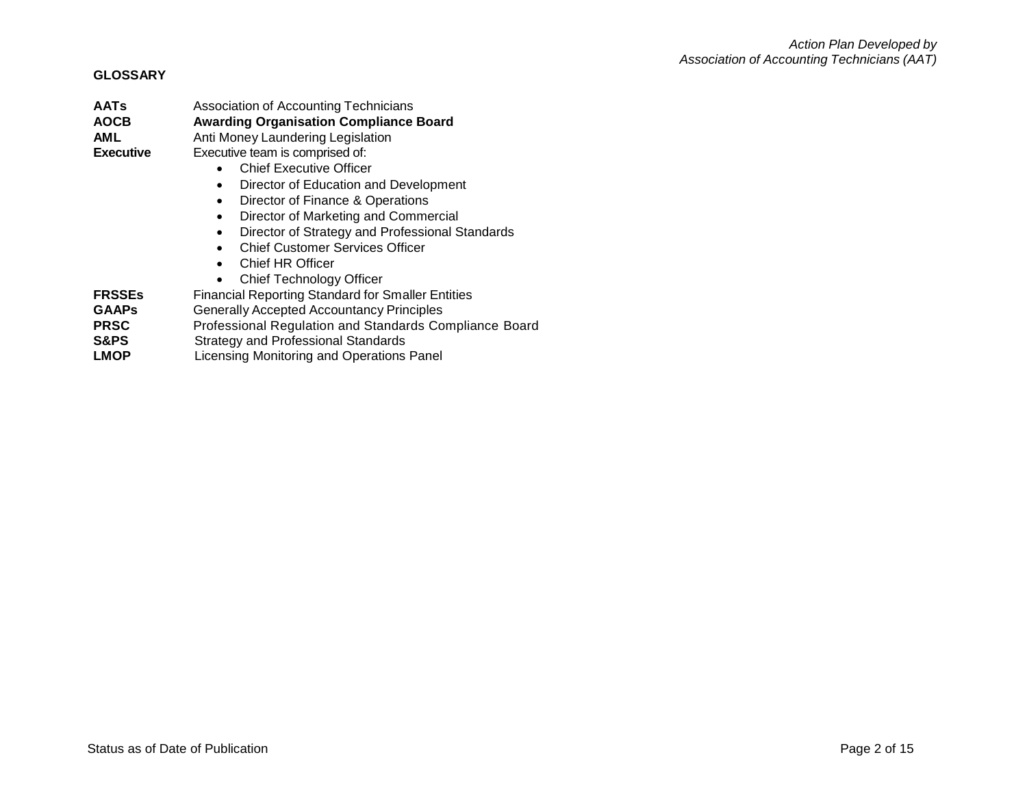#### **GLOSSARY**

**AATs** Association of Accounting Technicians **AOCB Awarding Organisation Compliance Board**

**AML** Anti Money Laundering Legislation

**Executive** Executive team is comprised of:

- Chief Executive Officer
- Director of Education and Development
- Director of Finance & Operations
- Director of Marketing and Commercial
- Director of Strategy and Professional Standards
- Chief Customer Services Officer
- Chief HR Officer
- Chief Technology Officer
- **FRSSEs** Financial Reporting Standard for Smaller Entities
- **GAAPs** Generally Accepted Accountancy Principles
- **PRSC** Professional Regulation and Standards Compliance Board
- **S&PS** Strategy and Professional Standards
- **LMOP** Licensing Monitoring and Operations Panel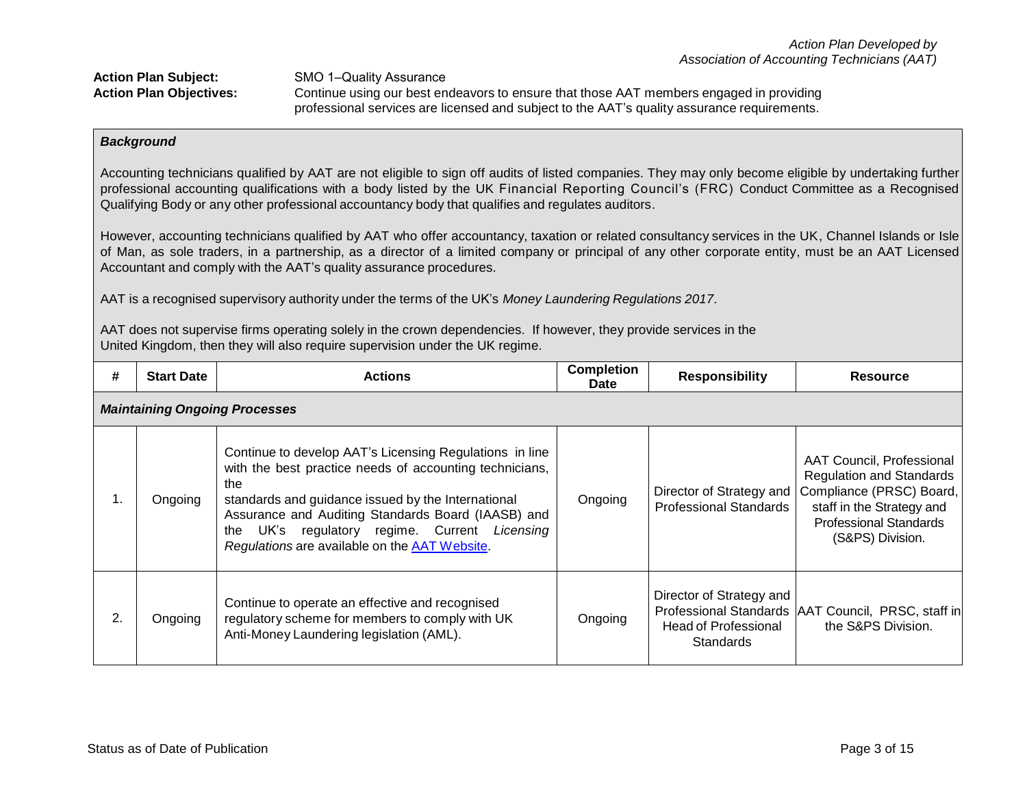professional services are licensed and subject to the AAT's quality assurance requirements.

# *Background*

Accounting technicians qualified by AAT are not eligible to sign off audits of listed companies. They may only become eligible by undertaking further professional accounting qualifications with a body listed by the UK Financial Reporting Council's (FRC) Conduct Committee as a Recognised Qualifying Body or any other professional accountancy body that qualifies and regulates auditors.

However, accounting technicians qualified by AAT who offer accountancy, taxation or related consultancy services in the UK, Channel Islands or Isle of Man, as sole traders, in a partnership, as a director of a limited company or principal of any other corporate entity, must be an AAT Licensed Accountant and comply with the AAT's quality assurance procedures.

AAT is a recognised supervisory authority under the terms of the UK's *Money Laundering Regulations 2017*.

AAT does not supervise firms operating solely in the crown dependencies. If however, they provide services in the United Kingdom, then they will also require supervision under the UK regime.

| #  | <b>Start Date</b> | <b>Actions</b>                                                                                                                                                                                                                                                                                                                          | <b>Completion</b><br><b>Date</b> | <b>Responsibility</b>                                                       | <b>Resource</b>                                                                                                                                                            |
|----|-------------------|-----------------------------------------------------------------------------------------------------------------------------------------------------------------------------------------------------------------------------------------------------------------------------------------------------------------------------------------|----------------------------------|-----------------------------------------------------------------------------|----------------------------------------------------------------------------------------------------------------------------------------------------------------------------|
|    |                   | <b>Maintaining Ongoing Processes</b>                                                                                                                                                                                                                                                                                                    |                                  |                                                                             |                                                                                                                                                                            |
| 1. | Ongoing           | Continue to develop AAT's Licensing Regulations in line<br>with the best practice needs of accounting technicians,<br>the<br>standards and guidance issued by the International<br>Assurance and Auditing Standards Board (IAASB) and<br>the UK's regulatory regime. Current Licensing<br>Regulations are available on the AAT Website. | Ongoing                          | Director of Strategy and<br><b>Professional Standards</b>                   | AAT Council, Professional<br><b>Regulation and Standards</b><br>Compliance (PRSC) Board,<br>staff in the Strategy and<br><b>Professional Standards</b><br>(S&PS) Division. |
| 2. | Ongoing           | Continue to operate an effective and recognised<br>regulatory scheme for members to comply with UK<br>Anti-Money Laundering legislation (AML).                                                                                                                                                                                          | Ongoing                          | Director of Strategy and<br><b>Head of Professional</b><br><b>Standards</b> | Professional Standards   AAT Council, PRSC, staff in<br>the S&PS Division.                                                                                                 |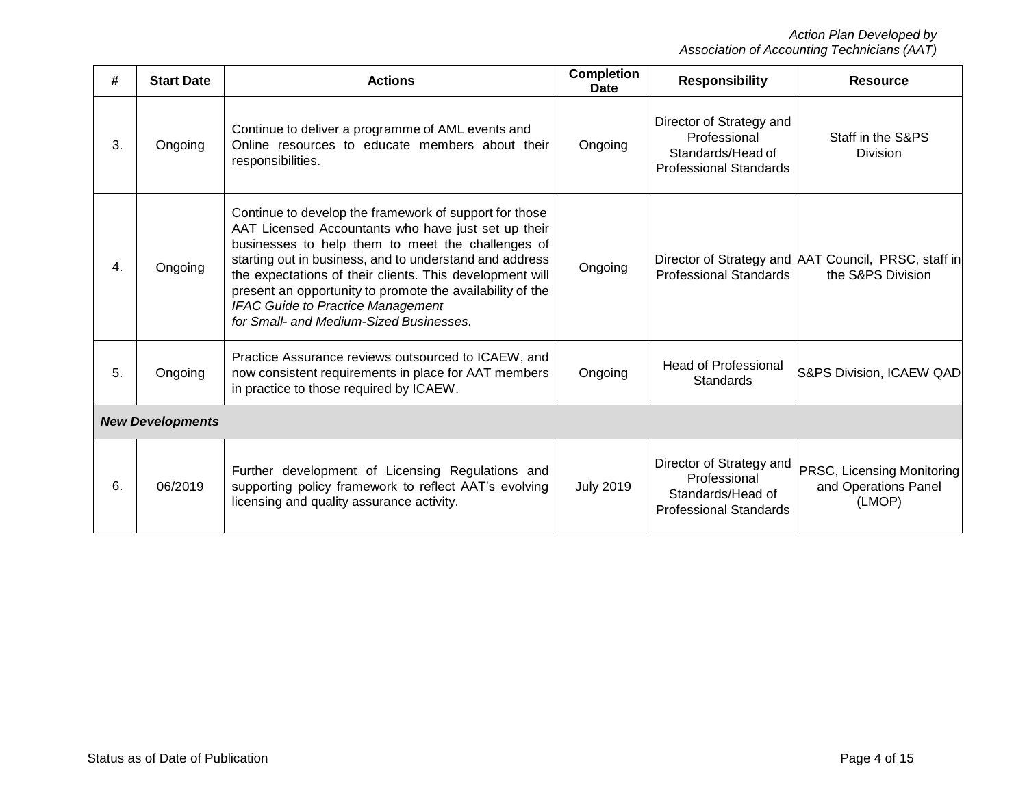| #  | <b>Start Date</b>       | <b>Actions</b>                                                                                                                                                                                                                                                                                                                                                                                                                                | <b>Completion</b><br>Date | <b>Responsibility</b>                                                                          | <b>Resource</b>                                                           |
|----|-------------------------|-----------------------------------------------------------------------------------------------------------------------------------------------------------------------------------------------------------------------------------------------------------------------------------------------------------------------------------------------------------------------------------------------------------------------------------------------|---------------------------|------------------------------------------------------------------------------------------------|---------------------------------------------------------------------------|
| 3. | Ongoing                 | Continue to deliver a programme of AML events and<br>Online resources to educate members about their<br>responsibilities.                                                                                                                                                                                                                                                                                                                     | Ongoing                   | Director of Strategy and<br>Professional<br>Standards/Head of<br><b>Professional Standards</b> | Staff in the S&PS<br>Division                                             |
| 4. | Ongoing                 | Continue to develop the framework of support for those<br>AAT Licensed Accountants who have just set up their<br>businesses to help them to meet the challenges of<br>starting out in business, and to understand and address<br>the expectations of their clients. This development will<br>present an opportunity to promote the availability of the<br><b>IFAC Guide to Practice Management</b><br>for Small- and Medium-Sized Businesses. | Ongoing                   | <b>Professional Standards</b>                                                                  | Director of Strategy and AAT Council, PRSC, staff in<br>the S&PS Division |
| 5. | Ongoing                 | Practice Assurance reviews outsourced to ICAEW, and<br>now consistent requirements in place for AAT members<br>in practice to those required by ICAEW.                                                                                                                                                                                                                                                                                        | Ongoing                   | <b>Head of Professional</b><br>Standards                                                       | S&PS Division, ICAEW QAD                                                  |
|    | <b>New Developments</b> |                                                                                                                                                                                                                                                                                                                                                                                                                                               |                           |                                                                                                |                                                                           |
| 6. | 06/2019                 | Further development of Licensing Regulations and<br>supporting policy framework to reflect AAT's evolving<br>licensing and quality assurance activity.                                                                                                                                                                                                                                                                                        | <b>July 2019</b>          | Director of Strategy and<br>Professional<br>Standards/Head of<br><b>Professional Standards</b> | PRSC, Licensing Monitoring<br>and Operations Panel<br>(LMOP)              |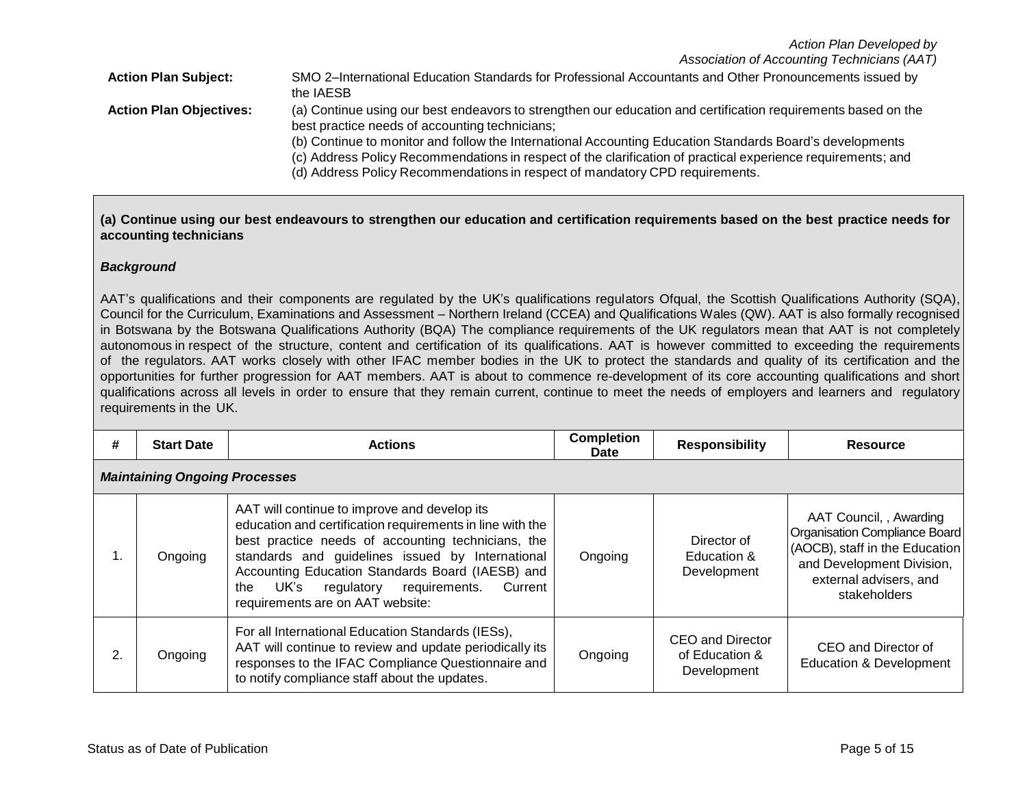*Association of Accounting Technicians (AAT)*

| <b>Action Plan Subject:</b>    | SMO 2-International Education Standards for Professional Accountants and Other Pronouncements issued by<br>the IAESB                                            |
|--------------------------------|-----------------------------------------------------------------------------------------------------------------------------------------------------------------|
| <b>Action Plan Objectives:</b> | (a) Continue using our best endeavors to strengthen our education and certification requirements based on the<br>best practice needs of accounting technicians; |
|                                | (b) Continue to monitor and follow the International Accounting Education Standards Board's developments                                                        |
|                                | (c) Address Policy Recommendations in respect of the clarification of practical experience requirements; and                                                    |
|                                | (d) Address Policy Recommendations in respect of mandatory CPD requirements.                                                                                    |

# (a) Continue using our best endeavours to strengthen our education and certification requirements based on the best practice needs for **accounting technicians**

## *Background*

AAT's qualifications and their components are regulated by the UK's qualifications regulators Ofqual, the Scottish Qualifications Authority (SQA), Council for the Curriculum, Examinations and Assessment – Northern Ireland (CCEA) and Qualifications Wales (QW). AAT is also formally recognised in Botswana by the Botswana Qualifications Authority (BQA) The compliance requirements of the UK regulators mean that AAT is not completely autonomous in respect of the structure, content and certification of its qualifications. AAT is however committed to exceeding the requirements of the regulators. AAT works closely with other IFAC member bodies in the UK to protect the standards and quality of its certification and the opportunities for further progression for AAT members. AAT is about to commence re-development of its core accounting qualifications and short qualifications across all levels in order to ensure that they remain current, continue to meet the needs of employers and learners and regulatory requirements in the UK.

| #  | <b>Start Date</b>                    | <b>Actions</b>                                                                                                                                                                                                                                                                                                                                                    | <b>Completion</b><br><b>Date</b> | <b>Responsibility</b>                             | <b>Resource</b>                                                                                                                                                   |  |  |
|----|--------------------------------------|-------------------------------------------------------------------------------------------------------------------------------------------------------------------------------------------------------------------------------------------------------------------------------------------------------------------------------------------------------------------|----------------------------------|---------------------------------------------------|-------------------------------------------------------------------------------------------------------------------------------------------------------------------|--|--|
|    | <b>Maintaining Ongoing Processes</b> |                                                                                                                                                                                                                                                                                                                                                                   |                                  |                                                   |                                                                                                                                                                   |  |  |
| Ι. | Ongoing                              | AAT will continue to improve and develop its<br>education and certification requirements in line with the<br>best practice needs of accounting technicians, the<br>standards and guidelines issued by International<br>Accounting Education Standards Board (IAESB) and<br>regulatory requirements.<br>UK's<br>the<br>Current<br>requirements are on AAT website: | Ongoing                          | Director of<br>Education &<br>Development         | AAT Council, , Awarding<br>Organisation Compliance Board<br>(AOCB), staff in the Education<br>and Development Division,<br>external advisers, and<br>stakeholders |  |  |
| 2. | Ongoing                              | For all International Education Standards (IESs),<br>AAT will continue to review and update periodically its<br>responses to the IFAC Compliance Questionnaire and<br>to notify compliance staff about the updates.                                                                                                                                               | Ongoing                          | CEO and Director<br>of Education &<br>Development | CEO and Director of<br><b>Education &amp; Development</b>                                                                                                         |  |  |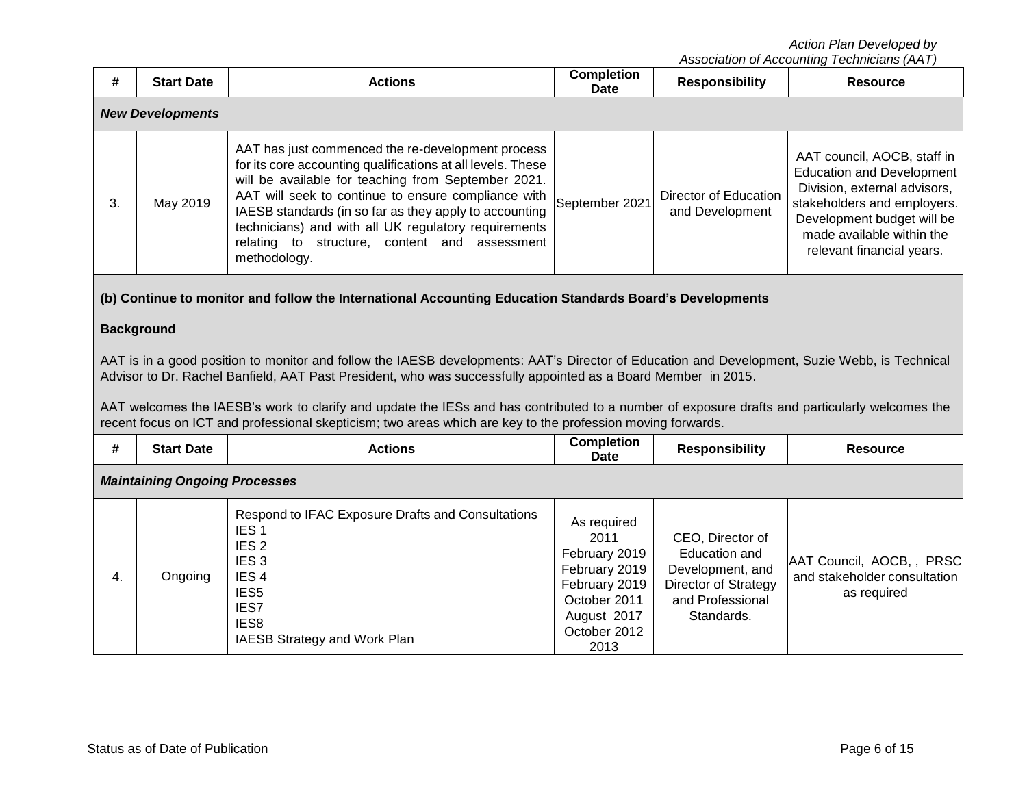| #                                                                                                                                                                                                                                                                                                                                                                                                                                                                                                                                                                                                                                                               | <b>Start Date</b>                    | <b>Actions</b>                                                                                                                                                                                                                                                                                                                                                                                                    | <b>Completion</b><br><b>Date</b>                                                                                              | <b>Responsibility</b>                                                                                           | <b>Resource</b>                                                                                                                                                                                                        |  |  |
|-----------------------------------------------------------------------------------------------------------------------------------------------------------------------------------------------------------------------------------------------------------------------------------------------------------------------------------------------------------------------------------------------------------------------------------------------------------------------------------------------------------------------------------------------------------------------------------------------------------------------------------------------------------------|--------------------------------------|-------------------------------------------------------------------------------------------------------------------------------------------------------------------------------------------------------------------------------------------------------------------------------------------------------------------------------------------------------------------------------------------------------------------|-------------------------------------------------------------------------------------------------------------------------------|-----------------------------------------------------------------------------------------------------------------|------------------------------------------------------------------------------------------------------------------------------------------------------------------------------------------------------------------------|--|--|
|                                                                                                                                                                                                                                                                                                                                                                                                                                                                                                                                                                                                                                                                 | <b>New Developments</b>              |                                                                                                                                                                                                                                                                                                                                                                                                                   |                                                                                                                               |                                                                                                                 |                                                                                                                                                                                                                        |  |  |
| 3.                                                                                                                                                                                                                                                                                                                                                                                                                                                                                                                                                                                                                                                              | May 2019                             | AAT has just commenced the re-development process<br>for its core accounting qualifications at all levels. These<br>will be available for teaching from September 2021.<br>AAT will seek to continue to ensure compliance with<br>IAESB standards (in so far as they apply to accounting<br>technicians) and with all UK regulatory requirements<br>relating to structure, content and assessment<br>methodology. | September 2021                                                                                                                | <b>Director of Education</b><br>and Development                                                                 | AAT council, AOCB, staff in<br><b>Education and Development</b><br>Division, external advisors,<br>stakeholders and employers.<br>Development budget will be<br>made available within the<br>relevant financial years. |  |  |
| (b) Continue to monitor and follow the International Accounting Education Standards Board's Developments<br><b>Background</b><br>AAT is in a good position to monitor and follow the IAESB developments: AAT's Director of Education and Development, Suzie Webb, is Technical<br>Advisor to Dr. Rachel Banfield, AAT Past President, who was successfully appointed as a Board Member in 2015.<br>AAT welcomes the IAESB's work to clarify and update the IESs and has contributed to a number of exposure drafts and particularly welcomes the<br>recent focus on ICT and professional skepticism; two areas which are key to the profession moving forwards. |                                      |                                                                                                                                                                                                                                                                                                                                                                                                                   |                                                                                                                               |                                                                                                                 |                                                                                                                                                                                                                        |  |  |
| #                                                                                                                                                                                                                                                                                                                                                                                                                                                                                                                                                                                                                                                               | <b>Start Date</b>                    | <b>Actions</b>                                                                                                                                                                                                                                                                                                                                                                                                    | <b>Completion</b><br><b>Date</b>                                                                                              | <b>Responsibility</b>                                                                                           | <b>Resource</b>                                                                                                                                                                                                        |  |  |
|                                                                                                                                                                                                                                                                                                                                                                                                                                                                                                                                                                                                                                                                 | <b>Maintaining Ongoing Processes</b> |                                                                                                                                                                                                                                                                                                                                                                                                                   |                                                                                                                               |                                                                                                                 |                                                                                                                                                                                                                        |  |  |
| 4.                                                                                                                                                                                                                                                                                                                                                                                                                                                                                                                                                                                                                                                              | Ongoing                              | Respond to IFAC Exposure Drafts and Consultations<br>IES <sub>1</sub><br>IES <sub>2</sub><br>IES <sub>3</sub><br>IES <sub>4</sub><br>IES <sub>5</sub><br>IES7<br>IES8<br>IAESB Strategy and Work Plan                                                                                                                                                                                                             | As required<br>2011<br>February 2019<br>February 2019<br>February 2019<br>October 2011<br>August 2017<br>October 2012<br>2013 | CEO, Director of<br>Education and<br>Development, and<br>Director of Strategy<br>and Professional<br>Standards. | AAT Council, AOCB,, PRSC<br>and stakeholder consultation<br>as required                                                                                                                                                |  |  |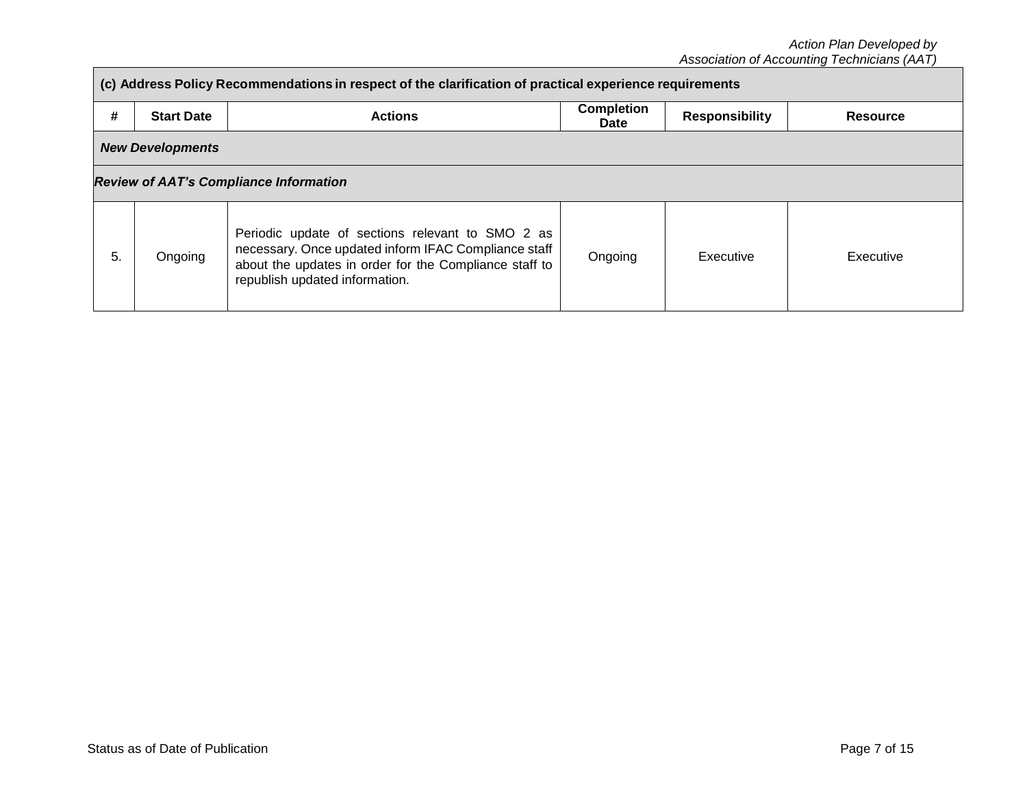|                                               | (c) Address Policy Recommendations in respect of the clarification of practical experience requirements |                                                                                                                                                                                                      |                                  |                       |                 |  |  |
|-----------------------------------------------|---------------------------------------------------------------------------------------------------------|------------------------------------------------------------------------------------------------------------------------------------------------------------------------------------------------------|----------------------------------|-----------------------|-----------------|--|--|
| #                                             | <b>Start Date</b>                                                                                       | <b>Actions</b>                                                                                                                                                                                       | <b>Completion</b><br><b>Date</b> | <b>Responsibility</b> | <b>Resource</b> |  |  |
|                                               | <b>New Developments</b>                                                                                 |                                                                                                                                                                                                      |                                  |                       |                 |  |  |
| <b>Review of AAT's Compliance Information</b> |                                                                                                         |                                                                                                                                                                                                      |                                  |                       |                 |  |  |
| 5.                                            | Ongoing                                                                                                 | Periodic update of sections relevant to SMO 2 as<br>necessary. Once updated inform IFAC Compliance staff<br>about the updates in order for the Compliance staff to<br>republish updated information. | Ongoing                          | Executive             | Executive       |  |  |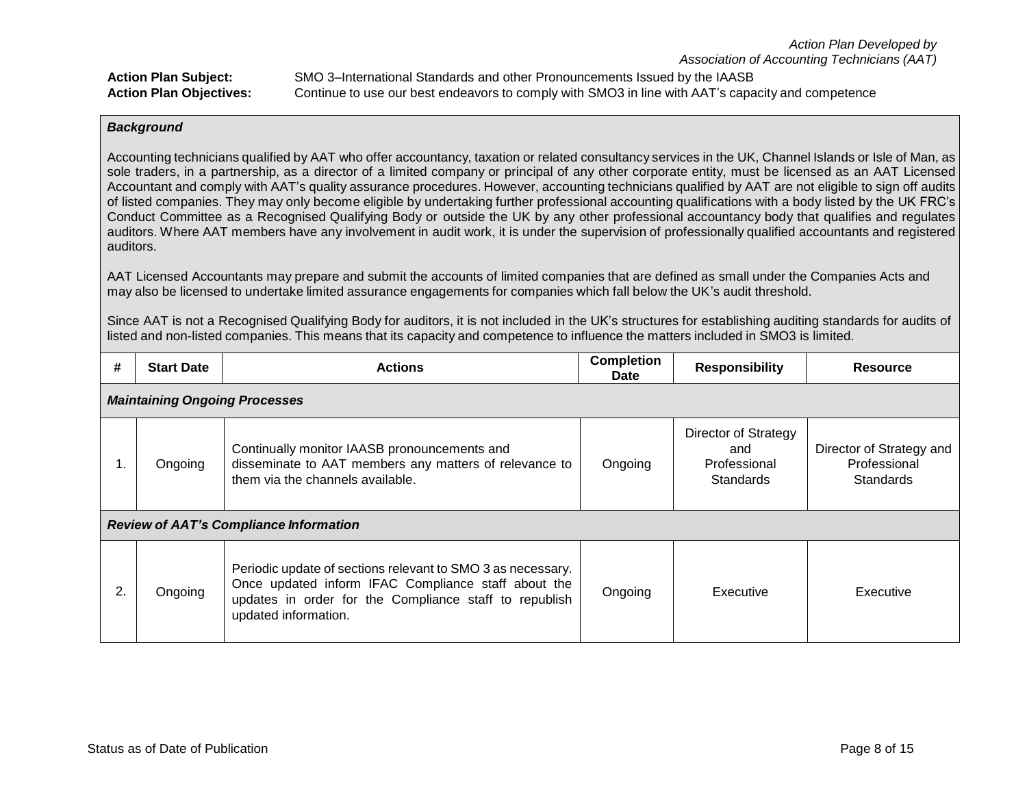**Action Plan Subject:** SMO 3–International Standards and other Pronouncements Issued by the IAASB **Action Plan Objectives:** Continue to use our best endeavors to comply with SMO3 in line with AAT's capacity and competence

## *Background*

Accounting technicians qualified by AAT who offer accountancy, taxation or related consultancy services in the UK, Channel Islands or Isle of Man, as sole traders, in a partnership, as a director of a limited company or principal of any other corporate entity, must be licensed as an AAT Licensed Accountant and comply with AAT's quality assurance procedures. However, accounting technicians qualified by AAT are not eligible to sign off audits of listed companies. They may only become eligible by undertaking further professional accounting qualifications with a body listed by the UK FRC's Conduct Committee as a Recognised Qualifying Body or outside the UK by any other professional accountancy body that qualifies and regulates auditors. Where AAT members have any involvement in audit work, it is under the supervision of professionally qualified accountants and registered auditors.

AAT Licensed Accountants may prepare and submit the accounts of limited companies that are defined as small under the Companies Acts and may also be licensed to undertake limited assurance engagements for companies which fall below the UK's audit threshold.

Since AAT is not a Recognised Qualifying Body for auditors, it is not included in the UK's structures for establishing auditing standards for audits of listed and non-listed companies. This means that its capacity and competence to influence the matters included in SMO3 is limited.

| #  | <b>Start Date</b>                             | <b>Actions</b>                                                                                                                                                                                       | <b>Completion</b><br>Date | <b>Responsibility</b>                                    | <b>Resource</b>                                              |  |
|----|-----------------------------------------------|------------------------------------------------------------------------------------------------------------------------------------------------------------------------------------------------------|---------------------------|----------------------------------------------------------|--------------------------------------------------------------|--|
|    | <b>Maintaining Ongoing Processes</b>          |                                                                                                                                                                                                      |                           |                                                          |                                                              |  |
| п. | Ongoing                                       | Continually monitor IAASB pronouncements and<br>disseminate to AAT members any matters of relevance to<br>them via the channels available.                                                           | Ongoing                   | Director of Strategy<br>and<br>Professional<br>Standards | Director of Strategy and<br>Professional<br><b>Standards</b> |  |
|    | <b>Review of AAT's Compliance Information</b> |                                                                                                                                                                                                      |                           |                                                          |                                                              |  |
| 2. | Ongoing                                       | Periodic update of sections relevant to SMO 3 as necessary.<br>Once updated inform IFAC Compliance staff about the<br>updates in order for the Compliance staff to republish<br>updated information. | Ongoing                   | Executive                                                | Executive                                                    |  |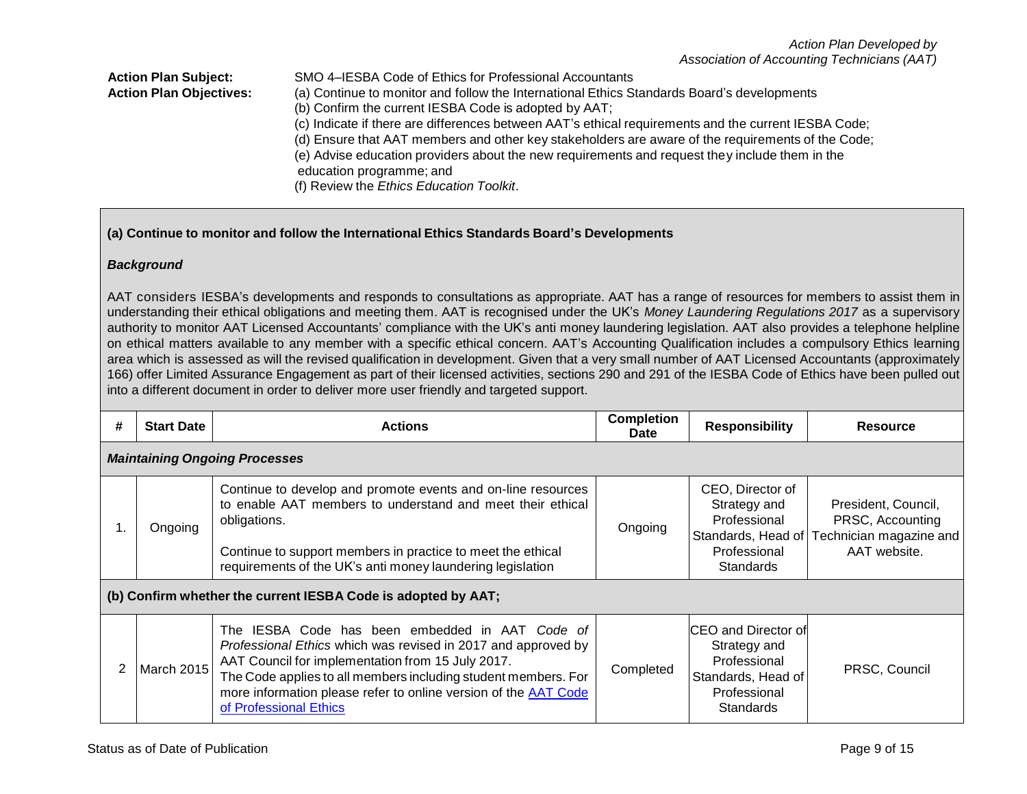## **Action Plan Subject:** SMO 4–IESBA Code of Ethics for Professional Accountants **Action Plan Objectives:** (a) Continue to monitor and follow the International Ethics Standards Board's developments (b) Confirm the current IESBA Code is adopted by AAT; (c) Indicate if there are differences between AAT's ethical requirements and the current IESBA Code; (d) Ensure that AAT members and other key stakeholders are aware of the requirements of the Code; (e) Advise education providers about the new requirements and request they include them in the education programme; and (f) Review the *Ethics Education Toolkit*.

# **(a) Continue to monitor and follow the International Ethics Standards Board's Developments**

# *Background*

AAT considers IESBA's developments and responds to consultations as appropriate. AAT has a range of resources for members to assist them in understanding their ethical obligations and meeting them. AAT is recognised under the UK's *Money Laundering Regulations 2017* as a supervisory authority to monitor AAT Licensed Accountants' compliance with the UK's anti money laundering legislation. AAT also provides a telephone helpline on ethical matters available to any member with a specific ethical concern. AAT's Accounting Qualification includes a compulsory Ethics learning area which is assessed as will the revised qualification in development. Given that a very small number of AAT Licensed Accountants (approximately 166) offer Limited Assurance Engagement as part of their licensed activities, sections 290 and 291 of the IESBA Code of Ethics have been pulled out into a different document in order to deliver more user friendly and targeted support.

| # | <b>Start Date</b>                    | <b>Actions</b>                                                                                                                                                                                                                                                                                                                              | <b>Completion</b><br><b>Date</b> | <b>Responsibility</b>                                                                                                 | <b>Resource</b>                                                                                       |  |  |
|---|--------------------------------------|---------------------------------------------------------------------------------------------------------------------------------------------------------------------------------------------------------------------------------------------------------------------------------------------------------------------------------------------|----------------------------------|-----------------------------------------------------------------------------------------------------------------------|-------------------------------------------------------------------------------------------------------|--|--|
|   | <b>Maintaining Ongoing Processes</b> |                                                                                                                                                                                                                                                                                                                                             |                                  |                                                                                                                       |                                                                                                       |  |  |
|   | Ongoing                              | Continue to develop and promote events and on-line resources<br>to enable AAT members to understand and meet their ethical<br>obligations.<br>Continue to support members in practice to meet the ethical<br>requirements of the UK's anti money laundering legislation                                                                     | Ongoing                          | CEO, Director of<br>Strategy and<br>Professional<br>Professional<br><b>Standards</b>                                  | President, Council,<br>PRSC, Accounting<br>Standards, Head of Technician magazine and<br>AAT website. |  |  |
|   |                                      | (b) Confirm whether the current IESBA Code is adopted by AAT;                                                                                                                                                                                                                                                                               |                                  |                                                                                                                       |                                                                                                       |  |  |
|   | <b>March 2015</b>                    | The IESBA Code has been embedded in AAT Code of<br>Professional Ethics which was revised in 2017 and approved by<br>AAT Council for implementation from 15 July 2017.<br>The Code applies to all members including student members. For<br>more information please refer to online version of the <b>AAT Code</b><br>of Professional Ethics | Completed                        | <b>ICEO</b> and Director of<br>Strategy and<br>Professional<br>Standards, Head of<br>Professional<br><b>Standards</b> | PRSC, Council                                                                                         |  |  |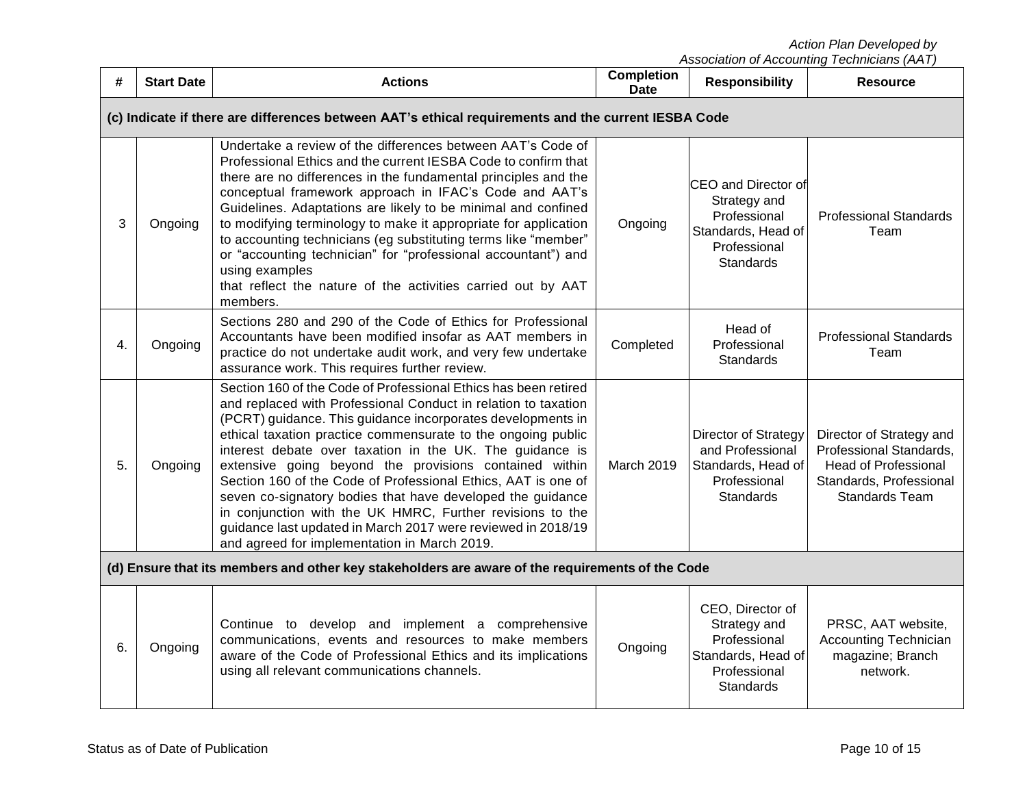*Action Plan Developed by*

| #                                                                                                | <b>Start Date</b>                                                                                   | <b>Actions</b>                                                                                                                                                                                                                                                                                                                                                                                                                                                                                                                                                                                                                                                                                     | <b>Completion</b><br><b>Date</b> | <b>Responsibility</b>                                                                                         | <b>Resource</b>                                                                                                                        |  |  |
|--------------------------------------------------------------------------------------------------|-----------------------------------------------------------------------------------------------------|----------------------------------------------------------------------------------------------------------------------------------------------------------------------------------------------------------------------------------------------------------------------------------------------------------------------------------------------------------------------------------------------------------------------------------------------------------------------------------------------------------------------------------------------------------------------------------------------------------------------------------------------------------------------------------------------------|----------------------------------|---------------------------------------------------------------------------------------------------------------|----------------------------------------------------------------------------------------------------------------------------------------|--|--|
|                                                                                                  | (c) Indicate if there are differences between AAT's ethical requirements and the current IESBA Code |                                                                                                                                                                                                                                                                                                                                                                                                                                                                                                                                                                                                                                                                                                    |                                  |                                                                                                               |                                                                                                                                        |  |  |
| 3                                                                                                | Ongoing                                                                                             | Undertake a review of the differences between AAT's Code of<br>Professional Ethics and the current IESBA Code to confirm that<br>there are no differences in the fundamental principles and the<br>conceptual framework approach in IFAC's Code and AAT's<br>Guidelines. Adaptations are likely to be minimal and confined<br>to modifying terminology to make it appropriate for application<br>to accounting technicians (eg substituting terms like "member"<br>or "accounting technician" for "professional accountant") and<br>using examples<br>that reflect the nature of the activities carried out by AAT<br>members.                                                                     | Ongoing                          | CEO and Director of<br>Strategy and<br>Professional<br>Standards, Head of<br>Professional<br><b>Standards</b> | <b>Professional Standards</b><br>Team                                                                                                  |  |  |
| 4.                                                                                               | Ongoing                                                                                             | Sections 280 and 290 of the Code of Ethics for Professional<br>Accountants have been modified insofar as AAT members in<br>practice do not undertake audit work, and very few undertake<br>assurance work. This requires further review.                                                                                                                                                                                                                                                                                                                                                                                                                                                           | Completed                        | Head of<br>Professional<br><b>Standards</b>                                                                   | <b>Professional Standards</b><br>Team                                                                                                  |  |  |
| 5.                                                                                               | Ongoing                                                                                             | Section 160 of the Code of Professional Ethics has been retired<br>and replaced with Professional Conduct in relation to taxation<br>(PCRT) guidance. This guidance incorporates developments in<br>ethical taxation practice commensurate to the ongoing public<br>interest debate over taxation in the UK. The guidance is<br>extensive going beyond the provisions contained within<br>Section 160 of the Code of Professional Ethics, AAT is one of<br>seven co-signatory bodies that have developed the guidance<br>in conjunction with the UK HMRC, Further revisions to the<br>guidance last updated in March 2017 were reviewed in 2018/19<br>and agreed for implementation in March 2019. | March 2019                       | Director of Strategy<br>and Professional<br>Standards, Head of<br>Professional<br><b>Standards</b>            | Director of Strategy and<br>Professional Standards,<br><b>Head of Professional</b><br>Standards, Professional<br><b>Standards Team</b> |  |  |
| (d) Ensure that its members and other key stakeholders are aware of the requirements of the Code |                                                                                                     |                                                                                                                                                                                                                                                                                                                                                                                                                                                                                                                                                                                                                                                                                                    |                                  |                                                                                                               |                                                                                                                                        |  |  |
| 6.                                                                                               | Ongoing                                                                                             | Continue to develop and implement a comprehensive<br>communications, events and resources to make members<br>aware of the Code of Professional Ethics and its implications<br>using all relevant communications channels.                                                                                                                                                                                                                                                                                                                                                                                                                                                                          | Ongoing                          | CEO, Director of<br>Strategy and<br>Professional<br>Standards, Head of<br>Professional<br>Standards           | PRSC, AAT website,<br><b>Accounting Technician</b><br>magazine; Branch<br>network.                                                     |  |  |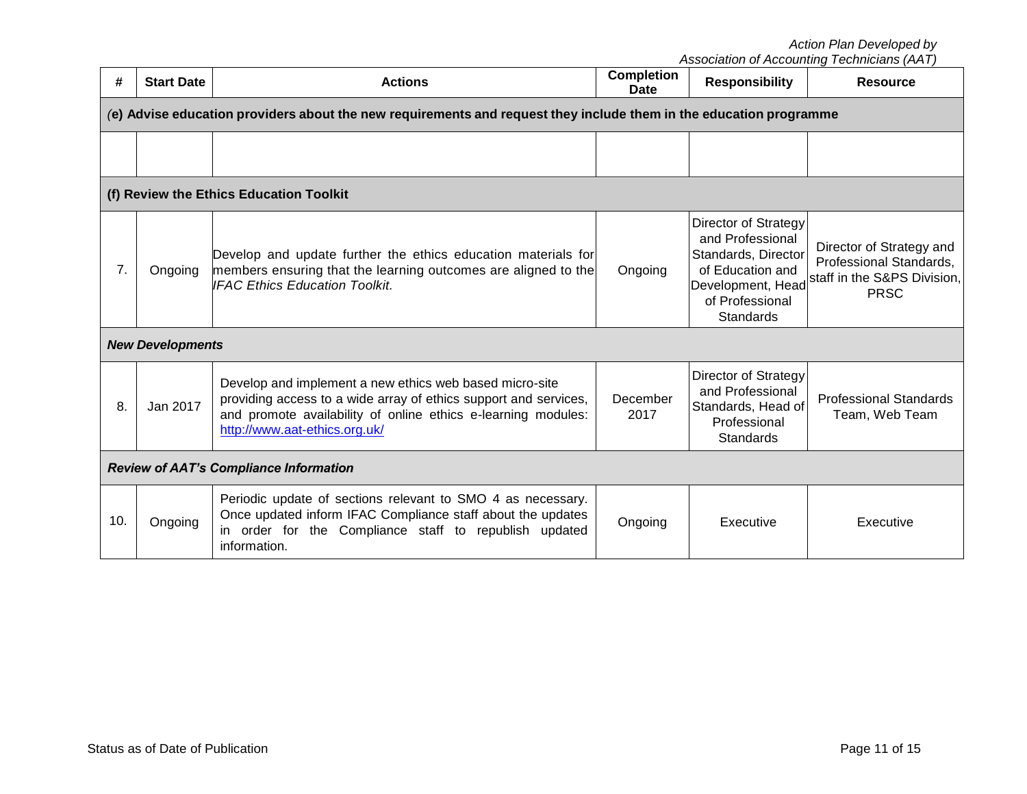*Action Plan Developed by*

| #   | <b>Start Date</b>                             | <b>Actions</b>                                                                                                                                                                                                                | <b>Completion</b><br><b>Date</b> | <b>Responsibility</b>                                                                                                                           | <b>Resource</b>                                                                                   |  |
|-----|-----------------------------------------------|-------------------------------------------------------------------------------------------------------------------------------------------------------------------------------------------------------------------------------|----------------------------------|-------------------------------------------------------------------------------------------------------------------------------------------------|---------------------------------------------------------------------------------------------------|--|
|     |                                               | (e) Advise education providers about the new requirements and request they include them in the education programme                                                                                                            |                                  |                                                                                                                                                 |                                                                                                   |  |
|     |                                               |                                                                                                                                                                                                                               |                                  |                                                                                                                                                 |                                                                                                   |  |
|     |                                               |                                                                                                                                                                                                                               |                                  |                                                                                                                                                 |                                                                                                   |  |
|     |                                               | (f) Review the Ethics Education Toolkit                                                                                                                                                                                       |                                  |                                                                                                                                                 |                                                                                                   |  |
| 7.  | Ongoing                                       | Develop and update further the ethics education materials for<br>members ensuring that the learning outcomes are aligned to the<br><b>IFAC Ethics Education Toolkit.</b>                                                      | Ongoing                          | Director of Strategy<br>and Professional<br>Standards, Director<br>of Education and<br>Development, Head<br>of Professional<br><b>Standards</b> | Director of Strategy and<br>Professional Standards,<br>staff in the S&PS Division,<br><b>PRSC</b> |  |
|     | <b>New Developments</b>                       |                                                                                                                                                                                                                               |                                  |                                                                                                                                                 |                                                                                                   |  |
| 8.  | Jan 2017                                      | Develop and implement a new ethics web based micro-site<br>providing access to a wide array of ethics support and services,<br>and promote availability of online ethics e-learning modules:<br>http://www.aat-ethics.org.uk/ | December<br>2017                 | Director of Strategy<br>and Professional<br>Standards, Head of<br>Professional<br><b>Standards</b>                                              | <b>Professional Standards</b><br>Team, Web Team                                                   |  |
|     | <b>Review of AAT's Compliance Information</b> |                                                                                                                                                                                                                               |                                  |                                                                                                                                                 |                                                                                                   |  |
| 10. | Ongoing                                       | Periodic update of sections relevant to SMO 4 as necessary.<br>Once updated inform IFAC Compliance staff about the updates<br>in order for the Compliance staff to republish updated<br>information.                          | Ongoing                          | Executive                                                                                                                                       | Executive                                                                                         |  |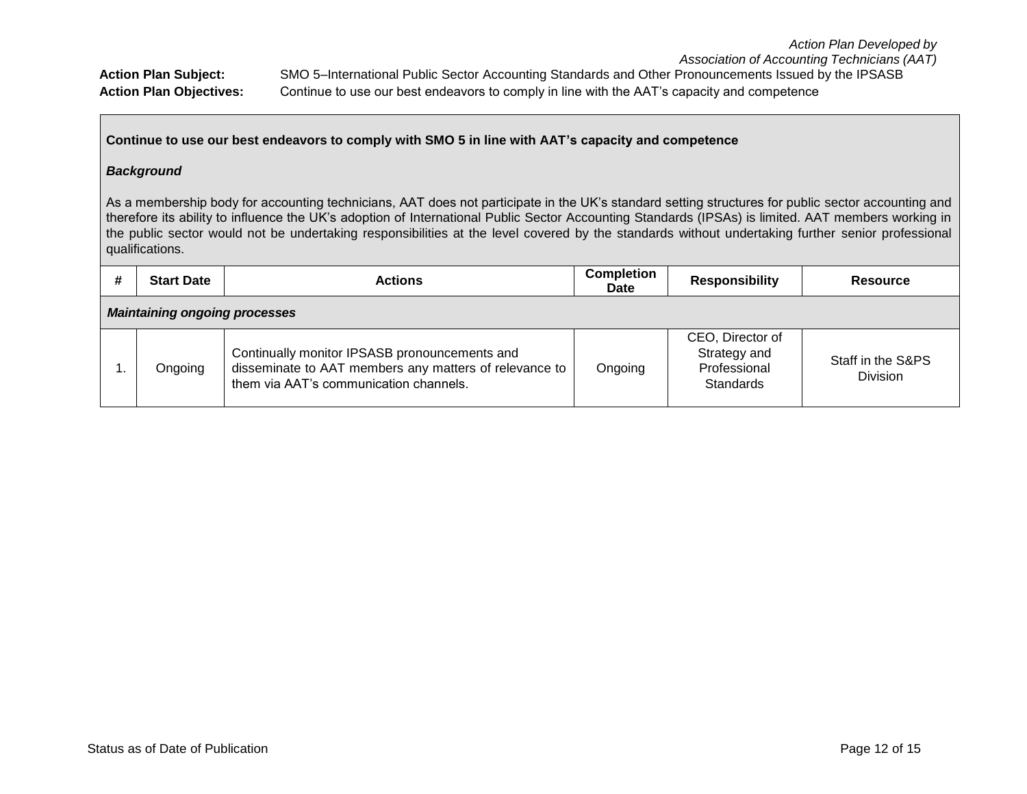#### **Continue to use our best endeavors to comply with SMO 5 in line with AAT's capacity and competence**

#### *Background*

As a membership body for accounting technicians, AAT does not participate in the UK's standard setting structures for public sector accounting and therefore its ability to influence the UK's adoption of International Public Sector Accounting Standards (IPSAs) is limited. AAT members working in the public sector would not be undertaking responsibilities at the level covered by the standards without undertaking further senior professional qualifications.

| #                                    | <b>Start Date</b> | <b>Actions</b>                                                                                                                                    | <b>Completion</b><br><b>Date</b> | <b>Responsibility</b>                                         | <b>Resource</b>                      |  |
|--------------------------------------|-------------------|---------------------------------------------------------------------------------------------------------------------------------------------------|----------------------------------|---------------------------------------------------------------|--------------------------------------|--|
| <b>Maintaining ongoing processes</b> |                   |                                                                                                                                                   |                                  |                                                               |                                      |  |
|                                      | Ongoing           | Continually monitor IPSASB pronouncements and<br>disseminate to AAT members any matters of relevance to<br>them via AAT's communication channels. | Ongoing                          | CEO, Director of<br>Strategy and<br>Professional<br>Standards | Staff in the S&PS<br><b>Division</b> |  |

*Action Plan Developed by*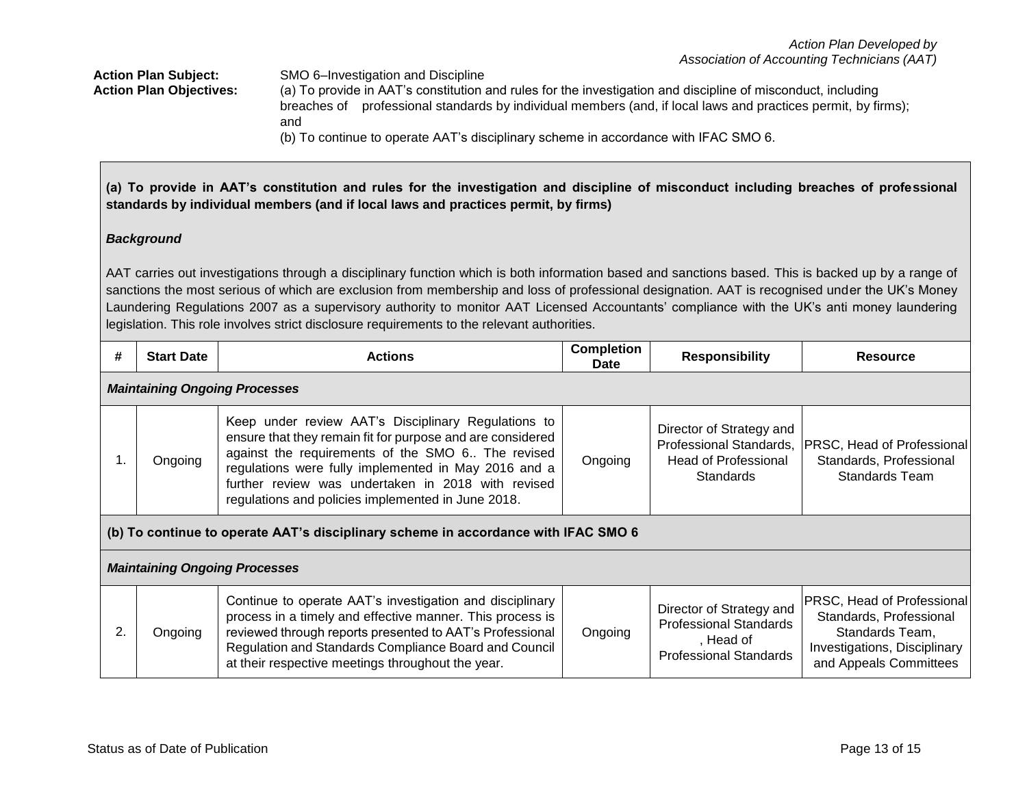**Action Plan Subject:** SMO 6–Investigation and Discipline **Action Plan Objectives:** (a) To provide in AAT's constitution and rules for the investigation and discipline of misconduct, including breaches of professional standards by individual members (and, if local laws and practices permit, by firms); and (b) To continue to operate AAT's disciplinary scheme in accordance with IFAC SMO 6.

**(a) To provide in AAT's constitution and rules for the investigation and discipline of misconduct including breaches of professional standards by individual members (and if local laws and practices permit, by firms)**

## *Background*

AAT carries out investigations through a disciplinary function which is both information based and sanctions based. This is backed up by a range of sanctions the most serious of which are exclusion from membership and loss of professional designation. AAT is recognised under the UK's Money Laundering Regulations 2007 as a supervisory authority to monitor AAT Licensed Accountants' compliance with the UK's anti money laundering legislation. This role involves strict disclosure requirements to the relevant authorities.

| #                                                                                  | <b>Start Date</b> | <b>Actions</b>                                                                                                                                                                                                                                                                                                                             | <b>Completion</b><br><b>Date</b> | <b>Responsibility</b>                                                                                   | <b>Resource</b>                                                                                                                    |  |  |  |
|------------------------------------------------------------------------------------|-------------------|--------------------------------------------------------------------------------------------------------------------------------------------------------------------------------------------------------------------------------------------------------------------------------------------------------------------------------------------|----------------------------------|---------------------------------------------------------------------------------------------------------|------------------------------------------------------------------------------------------------------------------------------------|--|--|--|
| <b>Maintaining Ongoing Processes</b>                                               |                   |                                                                                                                                                                                                                                                                                                                                            |                                  |                                                                                                         |                                                                                                                                    |  |  |  |
|                                                                                    | Ongoing           | Keep under review AAT's Disciplinary Regulations to<br>ensure that they remain fit for purpose and are considered<br>against the requirements of the SMO 6 The revised<br>regulations were fully implemented in May 2016 and a<br>further review was undertaken in 2018 with revised<br>regulations and policies implemented in June 2018. | Ongoing                          | Director of Strategy and<br>Professional Standards,<br><b>Head of Professional</b><br><b>Standards</b>  | PRSC, Head of Professional<br>Standards, Professional<br><b>Standards Team</b>                                                     |  |  |  |
| (b) To continue to operate AAT's disciplinary scheme in accordance with IFAC SMO 6 |                   |                                                                                                                                                                                                                                                                                                                                            |                                  |                                                                                                         |                                                                                                                                    |  |  |  |
| <b>Maintaining Ongoing Processes</b>                                               |                   |                                                                                                                                                                                                                                                                                                                                            |                                  |                                                                                                         |                                                                                                                                    |  |  |  |
| 2.                                                                                 | Ongoing           | Continue to operate AAT's investigation and disciplinary<br>process in a timely and effective manner. This process is<br>reviewed through reports presented to AAT's Professional<br>Regulation and Standards Compliance Board and Council<br>at their respective meetings throughout the year.                                            | Ongoing                          | Director of Strategy and<br><b>Professional Standards</b><br>, Head of<br><b>Professional Standards</b> | PRSC, Head of Professional<br>Standards, Professional<br>Standards Team,<br>Investigations, Disciplinary<br>and Appeals Committees |  |  |  |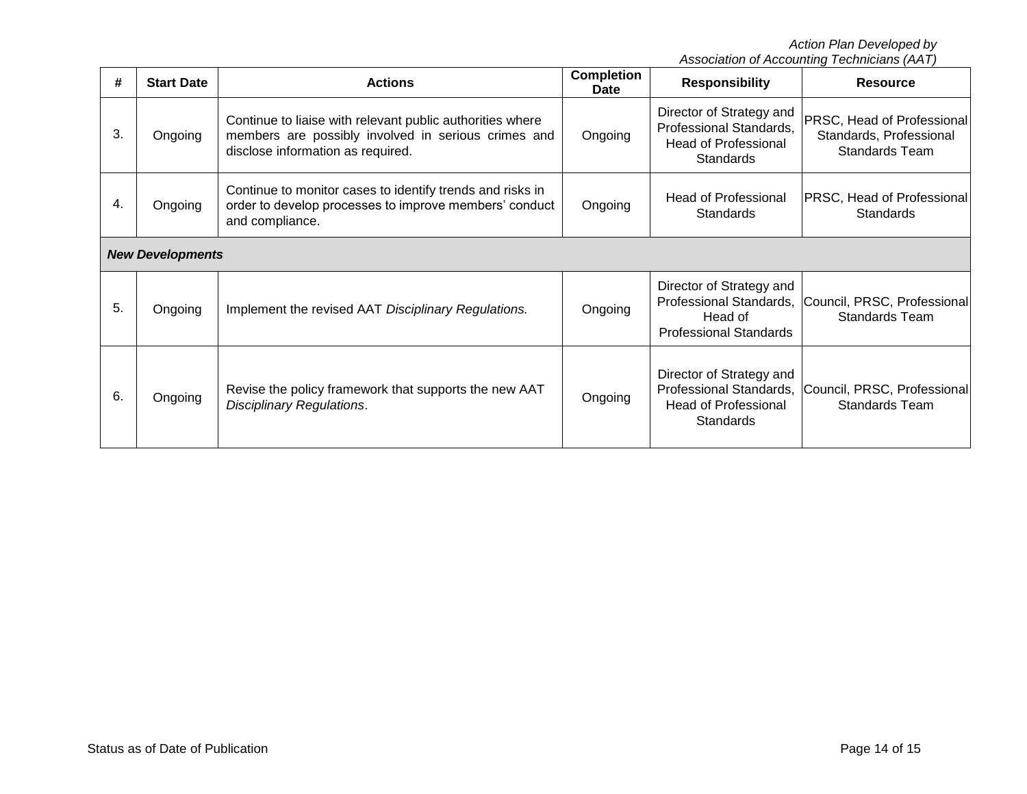*Action Plan Developed by*

| #                       | <b>Start Date</b> | <b>Actions</b>                                                                                                                                        | <b>Completion</b><br>Date | <b>Responsibility</b>                                                                                  | <b>Resource</b>                                                                       |  |  |
|-------------------------|-------------------|-------------------------------------------------------------------------------------------------------------------------------------------------------|---------------------------|--------------------------------------------------------------------------------------------------------|---------------------------------------------------------------------------------------|--|--|
| 3.                      | Ongoing           | Continue to liaise with relevant public authorities where<br>members are possibly involved in serious crimes and<br>disclose information as required. | Ongoing                   | Director of Strategy and<br>Professional Standards,<br><b>Head of Professional</b><br><b>Standards</b> | <b>PRSC, Head of Professional</b><br>Standards, Professional<br><b>Standards Team</b> |  |  |
| 4.                      | Ongoing           | Continue to monitor cases to identify trends and risks in<br>order to develop processes to improve members' conduct<br>and compliance.                | Ongoing                   | <b>Head of Professional</b><br><b>Standards</b>                                                        | PRSC, Head of Professional<br>Standards                                               |  |  |
| <b>New Developments</b> |                   |                                                                                                                                                       |                           |                                                                                                        |                                                                                       |  |  |
| 5.                      | Ongoing           | Implement the revised AAT Disciplinary Regulations.                                                                                                   | Ongoing                   | Director of Strategy and<br>Professional Standards,<br>Head of<br><b>Professional Standards</b>        | Council, PRSC, Professional<br><b>Standards Team</b>                                  |  |  |
| 6.                      | Ongoing           | Revise the policy framework that supports the new AAT<br><b>Disciplinary Regulations.</b>                                                             | Ongoing                   | Director of Strategy and<br>Professional Standards,<br><b>Head of Professional</b><br>Standards        | Council, PRSC, Professional<br><b>Standards Team</b>                                  |  |  |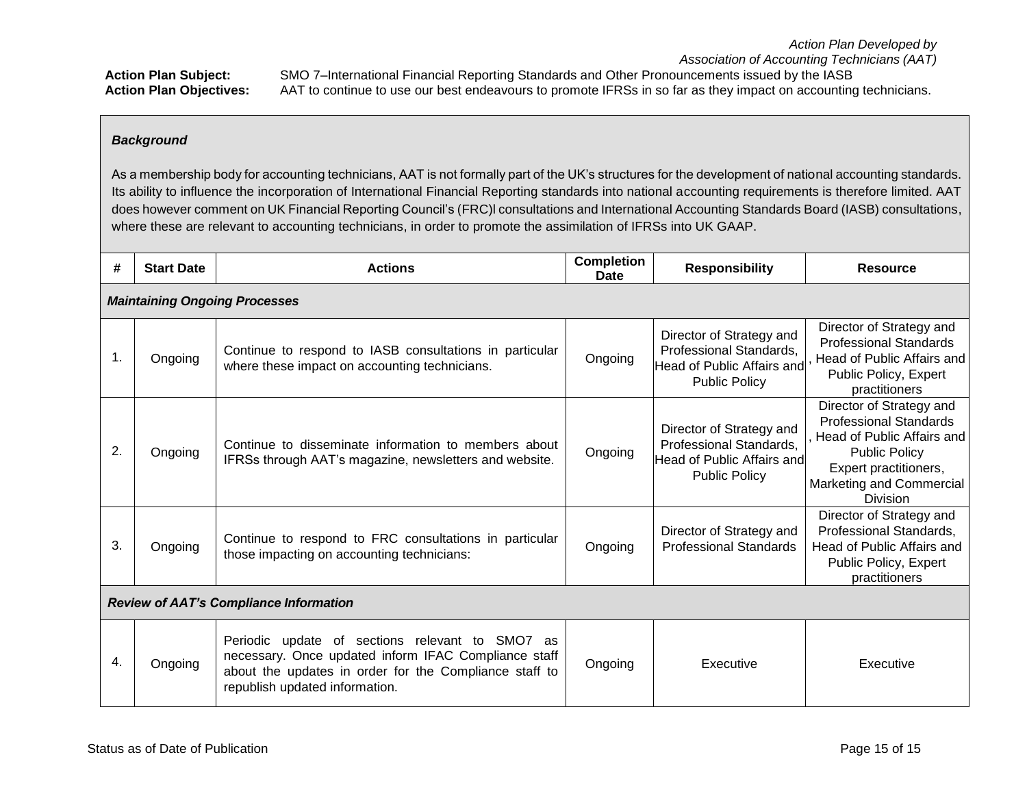*Association of Accounting Technicians (AAT)* **Action Plan Subject:** SMO 7–International Financial Reporting Standards and Other Pronouncements issued by the IASB **Action Plan Objectives:** AAT to continue to use our best endeavours to promote IFRSs in so far as they impact on accounting technicians.

# *Background*

As a membership body for accounting technicians, AAT is not formally part of the UK's structures for the development of national accounting standards. Its ability to influence the incorporation of International Financial Reporting standards into national accounting requirements is therefore limited. AAT does however comment on UK Financial Reporting Council's (FRC)l consultations and International Accounting Standards Board (IASB) consultations, where these are relevant to accounting technicians, in order to promote the assimilation of IFRSs into UK GAAP.

| #                                             | <b>Start Date</b> | <b>Actions</b>                                                                                                                                                                                      | <b>Completion</b><br><b>Date</b> | <b>Responsibility</b>                                                                                            | <b>Resource</b>                                                                                                                                                                         |  |  |  |
|-----------------------------------------------|-------------------|-----------------------------------------------------------------------------------------------------------------------------------------------------------------------------------------------------|----------------------------------|------------------------------------------------------------------------------------------------------------------|-----------------------------------------------------------------------------------------------------------------------------------------------------------------------------------------|--|--|--|
| <b>Maintaining Ongoing Processes</b>          |                   |                                                                                                                                                                                                     |                                  |                                                                                                                  |                                                                                                                                                                                         |  |  |  |
| 1.                                            | Ongoing           | Continue to respond to IASB consultations in particular<br>where these impact on accounting technicians.                                                                                            | Ongoing                          | Director of Strategy and<br>Professional Standards,<br><b>Head of Public Affairs and</b><br><b>Public Policy</b> | Director of Strategy and<br><b>Professional Standards</b><br>Head of Public Affairs and<br>Public Policy, Expert<br>practitioners                                                       |  |  |  |
| 2.                                            | Ongoing           | Continue to disseminate information to members about<br>IFRSs through AAT's magazine, newsletters and website.                                                                                      | Ongoing                          | Director of Strategy and<br>Professional Standards,<br>Head of Public Affairs and<br><b>Public Policy</b>        | Director of Strategy and<br><b>Professional Standards</b><br>Head of Public Affairs and<br><b>Public Policy</b><br>Expert practitioners,<br>Marketing and Commercial<br><b>Division</b> |  |  |  |
| 3.                                            | Ongoing           | Continue to respond to FRC consultations in particular<br>those impacting on accounting technicians:                                                                                                | Ongoing                          | Director of Strategy and<br><b>Professional Standards</b>                                                        | Director of Strategy and<br>Professional Standards,<br>Head of Public Affairs and<br>Public Policy, Expert<br>practitioners                                                             |  |  |  |
| <b>Review of AAT's Compliance Information</b> |                   |                                                                                                                                                                                                     |                                  |                                                                                                                  |                                                                                                                                                                                         |  |  |  |
| 4.                                            | Ongoing           | Periodic update of sections relevant to SMO7 as<br>necessary. Once updated inform IFAC Compliance staff<br>about the updates in order for the Compliance staff to<br>republish updated information. | Ongoing                          | Executive                                                                                                        | Executive                                                                                                                                                                               |  |  |  |